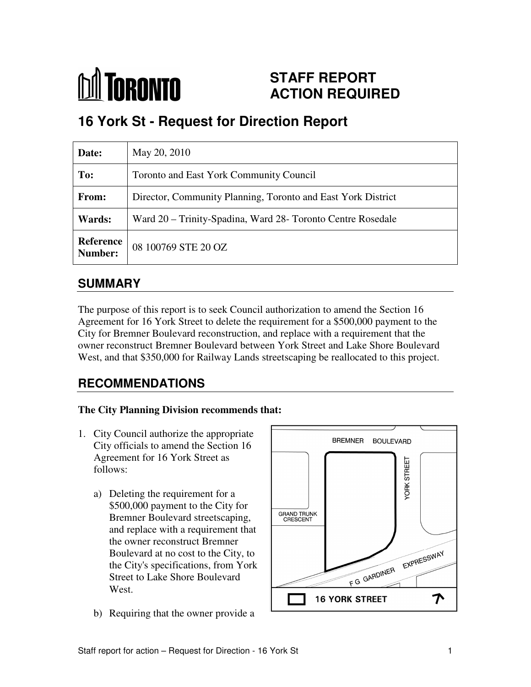

# **STAFF REPORT ACTION REQUIRED**

# **16 York St - Request for Direction Report**

| Date:                       | May 20, 2010                                                 |
|-----------------------------|--------------------------------------------------------------|
| To:                         | <b>Toronto and East York Community Council</b>               |
| From:                       | Director, Community Planning, Toronto and East York District |
| <b>Wards:</b>               | Ward 20 – Trinity-Spadina, Ward 28- Toronto Centre Rosedale  |
| <b>Reference</b><br>Number: | 08 100769 STE 20 OZ                                          |

## **SUMMARY**

The purpose of this report is to seek Council authorization to amend the Section 16 Agreement for 16 York Street to delete the requirement for a \$500,000 payment to the City for Bremner Boulevard reconstruction, and replace with a requirement that the owner reconstruct Bremner Boulevard between York Street and Lake Shore Boulevard West, and that \$350,000 for Railway Lands streetscaping be reallocated to this project.

# **RECOMMENDATIONS**

#### **The City Planning Division recommends that:**

- 1. City Council authorize the appropriate City officials to amend the Section 16 Agreement for 16 York Street as follows:
	- a) Deleting the requirement for a \$500,000 payment to the City for Bremner Boulevard streetscaping, and replace with a requirement that the owner reconstruct Bremner Boulevard at no cost to the City, to the City's specifications, from York Street to Lake Shore Boulevard West
	- b) Requiring that the owner provide a

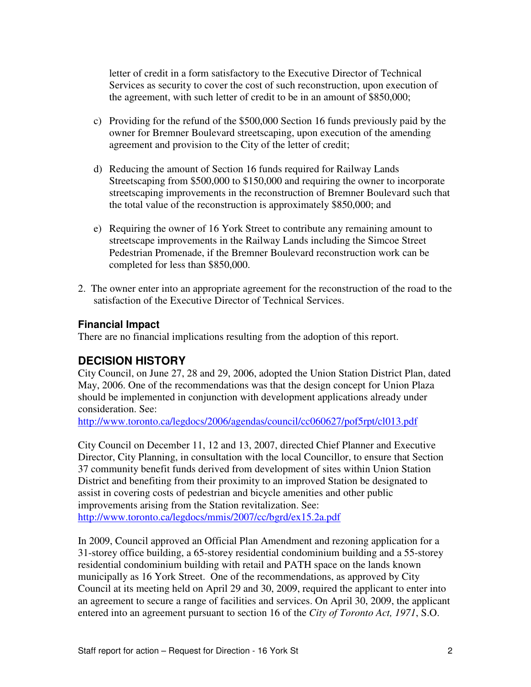letter of credit in a form satisfactory to the Executive Director of Technical Services as security to cover the cost of such reconstruction, upon execution of the agreement, with such letter of credit to be in an amount of \$850,000;

- c) Providing for the refund of the \$500,000 Section 16 funds previously paid by the owner for Bremner Boulevard streetscaping, upon execution of the amending agreement and provision to the City of the letter of credit;
- d) Reducing the amount of Section 16 funds required for Railway Lands Streetscaping from \$500,000 to \$150,000 and requiring the owner to incorporate streetscaping improvements in the reconstruction of Bremner Boulevard such that the total value of the reconstruction is approximately \$850,000; and
- e) Requiring the owner of 16 York Street to contribute any remaining amount to streetscape improvements in the Railway Lands including the Simcoe Street Pedestrian Promenade, if the Bremner Boulevard reconstruction work can be completed for less than \$850,000.
- 2. The owner enter into an appropriate agreement for the reconstruction of the road to the satisfaction of the Executive Director of Technical Services.

#### **Financial Impact**

There are no financial implications resulting from the adoption of this report.

#### **DECISION HISTORY**

City Council, on June 27, 28 and 29, 2006, adopted the Union Station District Plan, dated May, 2006. One of the recommendations was that the design concept for Union Plaza should be implemented in conjunction with development applications already under consideration. See:

http://www.toronto.ca/legdocs/2006/agendas/council/cc060627/pof5rpt/cl013.pdf

City Council on December 11, 12 and 13, 2007, directed Chief Planner and Executive Director, City Planning, in consultation with the local Councillor, to ensure that Section 37 community benefit funds derived from development of sites within Union Station District and benefiting from their proximity to an improved Station be designated to assist in covering costs of pedestrian and bicycle amenities and other public improvements arising from the Station revitalization. See: http://www.toronto.ca/legdocs/mmis/2007/cc/bgrd/ex15.2a.pdf

In 2009, Council approved an Official Plan Amendment and rezoning application for a 31-storey office building, a 65-storey residential condominium building and a 55-storey residential condominium building with retail and PATH space on the lands known municipally as 16 York Street. One of the recommendations, as approved by City Council at its meeting held on April 29 and 30, 2009, required the applicant to enter into an agreement to secure a range of facilities and services. On April 30, 2009, the applicant entered into an agreement pursuant to section 16 of the *City of Toronto Act, 1971*, S.O.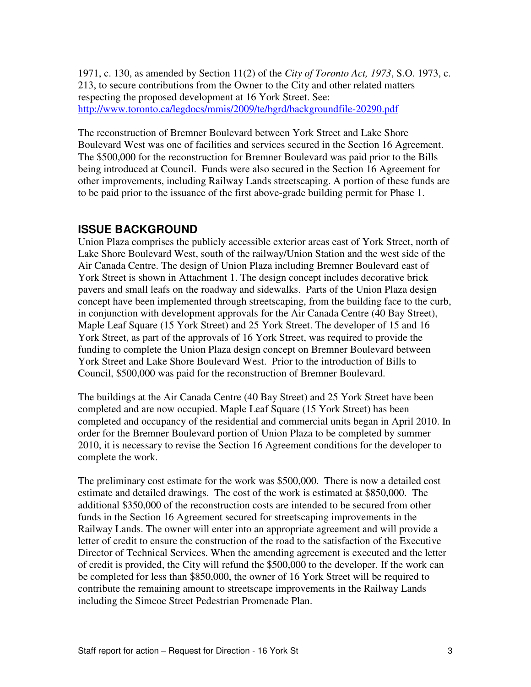1971, c. 130, as amended by Section 11(2) of the *City of Toronto Act, 1973*, S.O. 1973, c. 213, to secure contributions from the Owner to the City and other related matters respecting the proposed development at 16 York Street. See: http://www.toronto.ca/legdocs/mmis/2009/te/bgrd/backgroundfile-20290.pdf

The reconstruction of Bremner Boulevard between York Street and Lake Shore Boulevard West was one of facilities and services secured in the Section 16 Agreement. The \$500,000 for the reconstruction for Bremner Boulevard was paid prior to the Bills being introduced at Council. Funds were also secured in the Section 16 Agreement for other improvements, including Railway Lands streetscaping. A portion of these funds are to be paid prior to the issuance of the first above-grade building permit for Phase 1.

#### **ISSUE BACKGROUND**

Union Plaza comprises the publicly accessible exterior areas east of York Street, north of Lake Shore Boulevard West, south of the railway/Union Station and the west side of the Air Canada Centre. The design of Union Plaza including Bremner Boulevard east of York Street is shown in Attachment 1. The design concept includes decorative brick pavers and small leafs on the roadway and sidewalks. Parts of the Union Plaza design concept have been implemented through streetscaping, from the building face to the curb, in conjunction with development approvals for the Air Canada Centre (40 Bay Street), Maple Leaf Square (15 York Street) and 25 York Street. The developer of 15 and 16 York Street, as part of the approvals of 16 York Street, was required to provide the funding to complete the Union Plaza design concept on Bremner Boulevard between York Street and Lake Shore Boulevard West. Prior to the introduction of Bills to Council, \$500,000 was paid for the reconstruction of Bremner Boulevard.

The buildings at the Air Canada Centre (40 Bay Street) and 25 York Street have been completed and are now occupied. Maple Leaf Square (15 York Street) has been completed and occupancy of the residential and commercial units began in April 2010. In order for the Bremner Boulevard portion of Union Plaza to be completed by summer 2010, it is necessary to revise the Section 16 Agreement conditions for the developer to complete the work.

The preliminary cost estimate for the work was \$500,000. There is now a detailed cost estimate and detailed drawings. The cost of the work is estimated at \$850,000. The additional \$350,000 of the reconstruction costs are intended to be secured from other funds in the Section 16 Agreement secured for streetscaping improvements in the Railway Lands. The owner will enter into an appropriate agreement and will provide a letter of credit to ensure the construction of the road to the satisfaction of the Executive Director of Technical Services. When the amending agreement is executed and the letter of credit is provided, the City will refund the \$500,000 to the developer. If the work can be completed for less than \$850,000, the owner of 16 York Street will be required to contribute the remaining amount to streetscape improvements in the Railway Lands including the Simcoe Street Pedestrian Promenade Plan.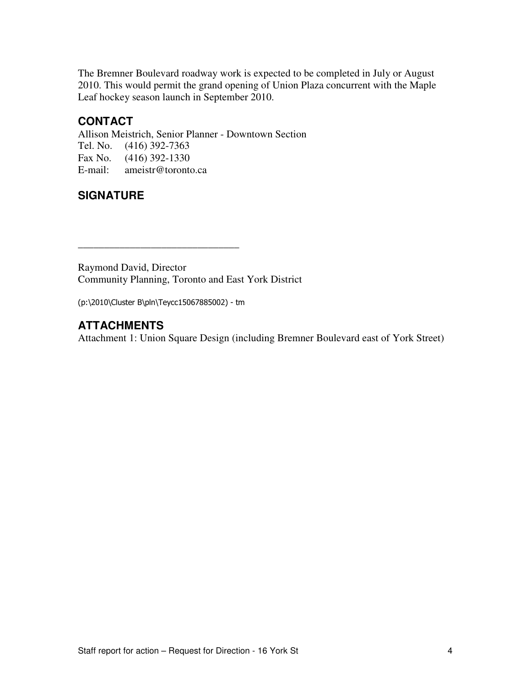The Bremner Boulevard roadway work is expected to be completed in July or August 2010. This would permit the grand opening of Union Plaza concurrent with the Maple Leaf hockey season launch in September 2010.

### **CONTACT**

Allison Meistrich, Senior Planner - Downtown Section Tel. No. (416) 392-7363 Fax No.  $(416)$  392-1330<br>E-mail: ameistr@toronto ameistr@toronto.ca

## **SIGNATURE**

Raymond David, Director Community Planning, Toronto and East York District

(p:\2010\Cluster B\pln\Teycc15067885002) - tm

\_\_\_\_\_\_\_\_\_\_\_\_\_\_\_\_\_\_\_\_\_\_\_\_\_\_\_\_\_\_\_

### **ATTACHMENTS**

Attachment 1: Union Square Design (including Bremner Boulevard east of York Street)